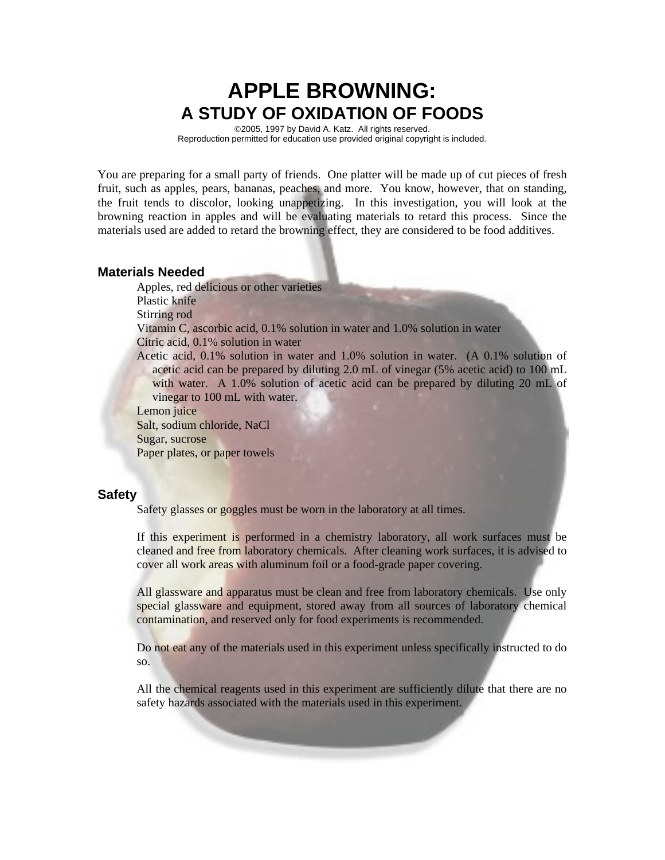# **APPLE BROWNING: A STUDY OF OXIDATION OF FOODS**

©2005, 1997 by David A. Katz. All rights reserved. Reproduction permitted for education use provided original copyright is included.

You are preparing for a small party of friends. One platter will be made up of cut pieces of fresh fruit, such as apples, pears, bananas, peaches, and more. You know, however, that on standing, the fruit tends to discolor, looking unappetizing. In this investigation, you will look at the browning reaction in apples and will be evaluating materials to retard this process. Since the materials used are added to retard the browning effect, they are considered to be food additives.

#### **Materials Needed**

Apples, red delicious or other varieties

Plastic knife

Stirring rod

Vitamin C, ascorbic acid, 0.1% solution in water and 1.0% solution in water

Citric acid, 0.1% solution in water

Acetic acid, 0.1% solution in water and 1.0% solution in water. (A 0.1% solution of acetic acid can be prepared by diluting 2.0 mL of vinegar (5% acetic acid) to 100 mL with water. A 1.0% solution of acetic acid can be prepared by diluting 20 mL of vinegar to 100 mL with water.

Lemon juice

Salt, sodium chloride, NaCl Sugar, sucrose Paper plates, or paper towels

#### **Safety**

Safety glasses or goggles must be worn in the laboratory at all times.

If this experiment is performed in a chemistry laboratory, all work surfaces must be cleaned and free from laboratory chemicals. After cleaning work surfaces, it is advised to cover all work areas with aluminum foil or a food-grade paper covering.

All glassware and apparatus must be clean and free from laboratory chemicals. Use only special glassware and equipment, stored away from all sources of laboratory chemical contamination, and reserved only for food experiments is recommended.

Do not eat any of the materials used in this experiment unless specifically instructed to do so.

All the chemical reagents used in this experiment are sufficiently dilute that there are no safety hazards associated with the materials used in this experiment.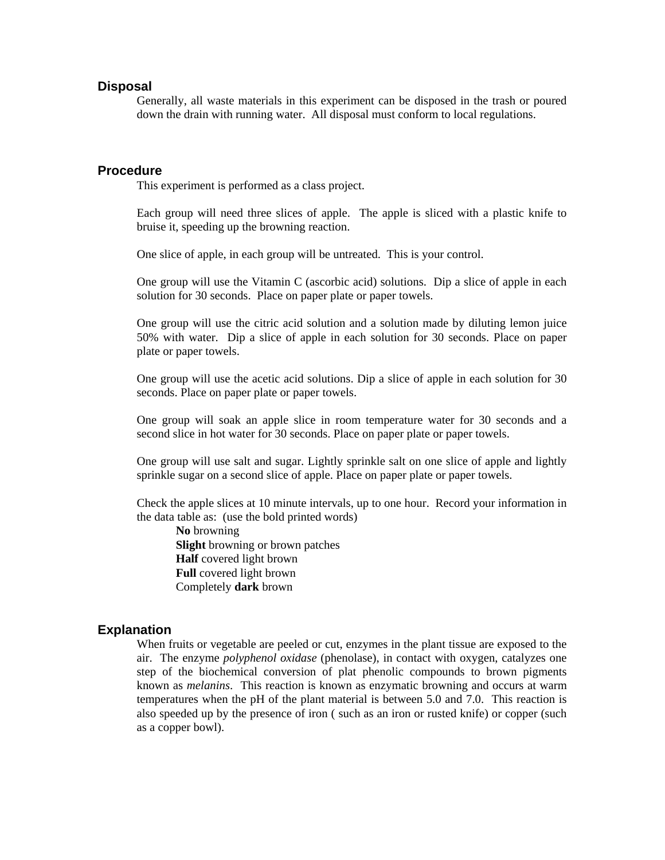#### **Disposal**

Generally, all waste materials in this experiment can be disposed in the trash or poured down the drain with running water. All disposal must conform to local regulations.

#### **Procedure**

This experiment is performed as a class project.

Each group will need three slices of apple. The apple is sliced with a plastic knife to bruise it, speeding up the browning reaction.

One slice of apple, in each group will be untreated. This is your control.

One group will use the Vitamin C (ascorbic acid) solutions. Dip a slice of apple in each solution for 30 seconds. Place on paper plate or paper towels.

One group will use the citric acid solution and a solution made by diluting lemon juice 50% with water. Dip a slice of apple in each solution for 30 seconds. Place on paper plate or paper towels.

One group will use the acetic acid solutions. Dip a slice of apple in each solution for 30 seconds. Place on paper plate or paper towels.

One group will soak an apple slice in room temperature water for 30 seconds and a second slice in hot water for 30 seconds. Place on paper plate or paper towels.

One group will use salt and sugar. Lightly sprinkle salt on one slice of apple and lightly sprinkle sugar on a second slice of apple. Place on paper plate or paper towels.

Check the apple slices at 10 minute intervals, up to one hour. Record your information in the data table as: (use the bold printed words)

**No** browning **Slight** browning or brown patches **Half** covered light brown  **Full** covered light brown Completely **dark** brown

#### **Explanation**

When fruits or vegetable are peeled or cut, enzymes in the plant tissue are exposed to the air. The enzyme *polyphenol oxidase* (phenolase), in contact with oxygen, catalyzes one step of the biochemical conversion of plat phenolic compounds to brown pigments known as *melanins*. This reaction is known as enzymatic browning and occurs at warm temperatures when the pH of the plant material is between 5.0 and 7.0. This reaction is also speeded up by the presence of iron ( such as an iron or rusted knife) or copper (such as a copper bowl).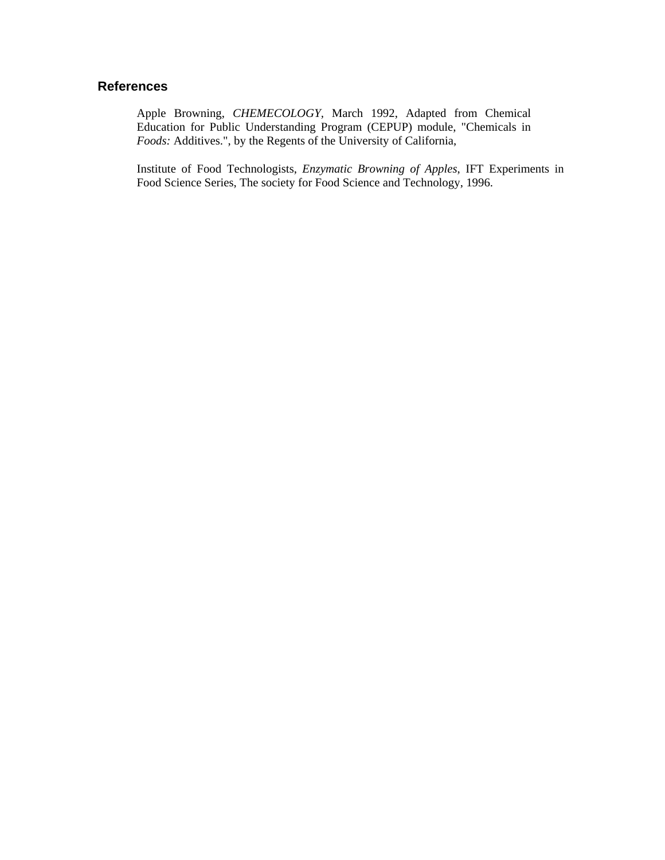#### **References**

Apple Browning, *CHEMECOLOGY,* March 1992, Adapted from Chemical Education for Public Understanding Program (CEPUP) module, "Chemicals in *Foods:* Additives.", by the Regents of the University of California,

Institute of Food Technologists, *Enzymatic Browning of Apples*, IFT Experiments in Food Science Series, The society for Food Science and Technology, 1996.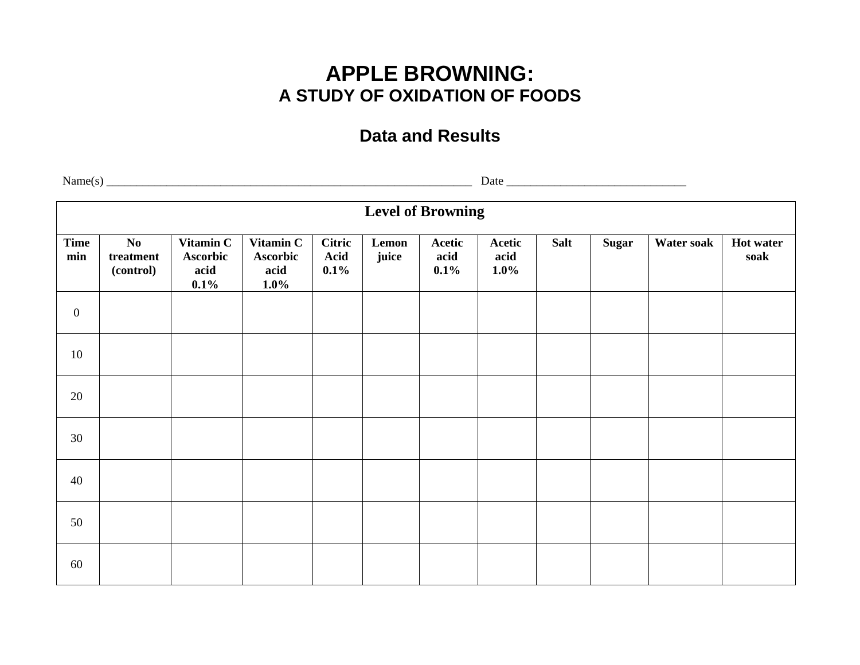# **APPLE BROWNING: A STUDY OF OXIDATION OF FOODS**

## **Data and Results**

 $Name(s)$   $\qquad \qquad$   $Date$   $\qquad \qquad$   $Date$   $\qquad \qquad$   $Date$   $\qquad \qquad$   $Date$   $\qquad \qquad$   $Date$   $\qquad \qquad$   $\qquad \qquad$   $Date$   $\qquad \qquad$   $\qquad \qquad$   $\qquad \qquad$   $\qquad \qquad$   $\qquad \qquad$   $\qquad \qquad$   $\qquad \qquad$   $\qquad \qquad$   $\qquad \qquad$   $\qquad \qquad$   $\qquad \qquad$   $\qquad \qquad$   $\qquad \qquad$   $\qquad \qquad$   $\$ **Level of Browning Time min No treatment (control) Vitamin C Ascorbic acid 0.1% Vitamin C Ascorbic acid 1.0% Citric Acid 0.1% Lemon juice Acetic acid 0.1% Acetic acid 1.0%** Salt | Sugar | Water soak | Hot water **soak** 0 10 20 30 40 50 60